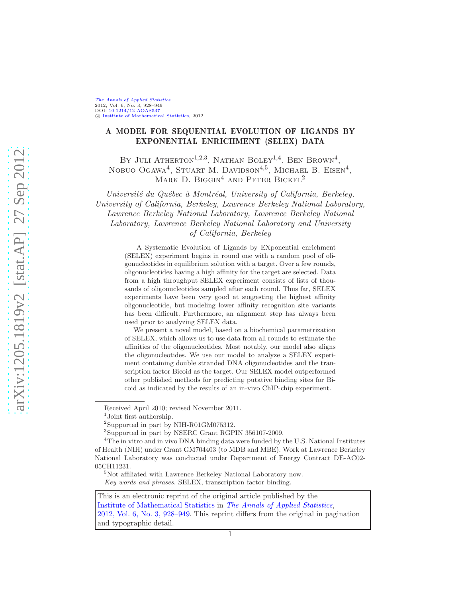## A MODEL FOR SEQUENTIAL EVOLUTION OF LIGANDS BY EXPONENTIAL ENRICHMENT (SELEX) DATA

BY JULI ATHERTON<sup>1,2,3</sup>, NATHAN BOLEY<sup>1,4</sup>, BEN BROWN<sup>4</sup>, NOBUO OGAWA<sup>4</sup>, STUART M. DAVIDSON<sup>4,5</sup>, MICHAEL B. EISEN<sup>4</sup>, MARK D. BIGGIN<sup>4</sup> AND PETER BICKEL<sup>2</sup>

Université du Québec à Montréal, University of California, Berkeley, University of California, Berkeley, Lawrence Berkeley National Laboratory, Lawrence Berkeley National Laboratory, Lawrence Berkeley National Laboratory, Lawrence Berkeley National Laboratory and University of California, Berkeley

> A Systematic Evolution of Ligands by EXponential enrichment (SELEX) experiment begins in round one with a random pool of oligonucleotides in equilibrium solution with a target. Over a few rounds, oligonucleotides having a high affinity for the target are selected. Data from a high throughput SELEX experiment consists of lists of thousands of oligonucleotides sampled after each round. Thus far, SELEX experiments have been very good at suggesting the highest affinity oligonucleotide, but modeling lower affinity recognition site variants has been difficult. Furthermore, an alignment step has always been used prior to analyzing SELEX data.

> We present a novel model, based on a biochemical parametrization of SELEX, which allows us to use data from all rounds to estimate the affinities of the oligonucleotides. Most notably, our model also aligns the oligonucleotides. We use our model to analyze a SELEX experiment containing double stranded DNA oligonucleotides and the transcription factor Bicoid as the target. Our SELEX model outperformed other published methods for predicting putative binding sites for Bicoid as indicated by the results of an in-vivo ChIP-chip experiment.

This is an electronic reprint of the original article published by the [Institute of Mathematical Statistics](http://www.imstat.org) in [The Annals of Applied Statistics](http://www.imstat.org/aoas/), [2012, Vol. 6, No. 3, 928–949.](http://dx.doi.org/10.1214/12-AOAS537) This reprint differs from the original in pagination and typographic detail.

Received April 2010; revised November 2011.

<sup>1</sup> Joint first authorship.

<sup>2</sup> Supported in part by NIH-R01GM075312.

<sup>3</sup>Supported in part by NSERC Grant RGPIN 356107-2009.

<sup>&</sup>lt;sup>4</sup>The in vitro and in vivo DNA binding data were funded by the U.S. National Institutes of Health (NIH) under Grant GM704403 (to MDB and MBE). Work at Lawrence Berkeley National Laboratory was conducted under Department of Energy Contract DE-AC02- 05CH11231.

<sup>&</sup>lt;sup>5</sup>Not affiliated with Lawrence Berkeley National Laboratory now. *Key words and phrases.* SELEX, transcription factor binding.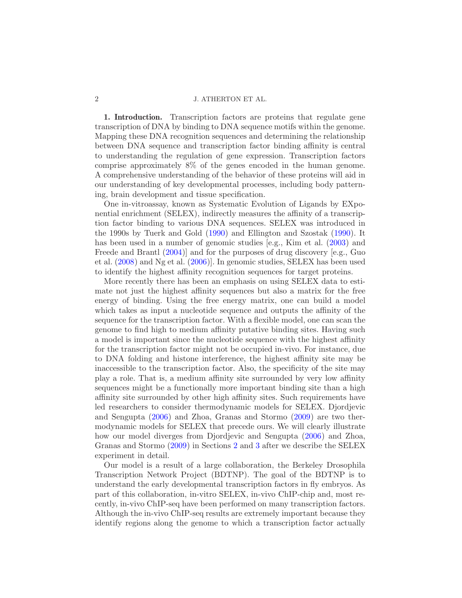1. Introduction. Transcription factors are proteins that regulate gene transcription of DNA by binding to DNA sequence motifs within the genome. Mapping these DNA recognition sequences and determining the relationship between DNA sequence and transcription factor binding affinity is central to understanding the regulation of gene expression. Transcription factors comprise approximately 8% of the genes encoded in the human genome. A comprehensive understanding of the behavior of these proteins will aid in our understanding of key developmental processes, including body patterning, brain development and tissue specification.

One in-vitroassay, known as Systematic Evolution of Ligands by EXponential enrichment (SELEX), indirectly measures the affinity of a transcription factor binding to various DNA sequences. SELEX was introduced in the 1990s by Tuerk and Gold [\(1990](#page-22-0)) and Ellington and Szostak [\(1990\)](#page-21-0). It has been used in a number of genomic studies [e.g., Kim et al. [\(2003](#page-21-1)) and Freede and Brantl [\(2004](#page-21-2))] and for the purposes of drug discovery [e.g., Guo et al. [\(2008](#page-21-3)) and Ng et al. [\(2006](#page-22-1))]. In genomic studies, SELEX has been used to identify the highest affinity recognition sequences for target proteins.

More recently there has been an emphasis on using SELEX data to estimate not just the highest affinity sequences but also a matrix for the free energy of binding. Using the free energy matrix, one can build a model which takes as input a nucleotide sequence and outputs the affinity of the sequence for the transcription factor. With a flexible model, one can scan the genome to find high to medium affinity putative binding sites. Having such a model is important since the nucleotide sequence with the highest affinity for the transcription factor might not be occupied in-vivo. For instance, due to DNA folding and histone interference, the highest affinity site may be inaccessible to the transcription factor. Also, the specificity of the site may play a role. That is, a medium affinity site surrounded by very low affinity sequences might be a functionally more important binding site than a high affinity site surrounded by other high affinity sites. Such requirements have led researchers to consider thermodynamic models for SELEX. Djordjevic and Sengupta [\(2006\)](#page-21-4) and Zhoa, Granas and Stormo [\(2009](#page-22-2)) are two thermodynamic models for SELEX that precede ours. We will clearly illustrate how our model diverges from Djordjevic and Sengupta [\(2006](#page-21-4)) and Zhoa, Granas and Stormo [\(2009](#page-22-2)) in Sections [2](#page-2-0) and [3](#page-5-0) after we describe the SELEX experiment in detail.

Our model is a result of a large collaboration, the Berkeley Drosophila Transcription Network Project (BDTNP). The goal of the BDTNP is to understand the early developmental transcription factors in fly embryos. As part of this collaboration, in-vitro SELEX, in-vivo ChIP-chip and, most recently, in-vivo ChIP-seq have been performed on many transcription factors. Although the in-vivo ChIP-seq results are extremely important because they identify regions along the genome to which a transcription factor actually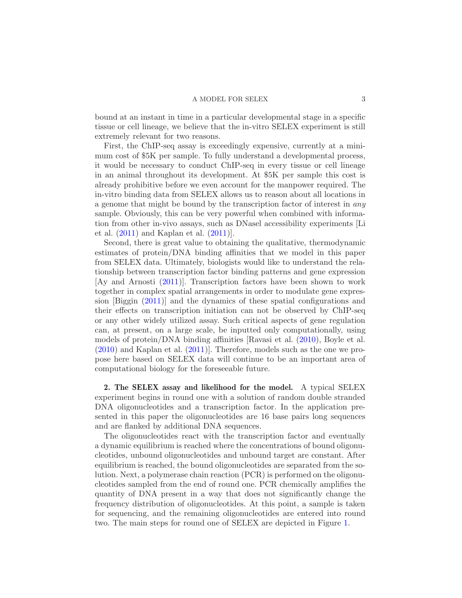bound at an instant in time in a particular developmental stage in a specific tissue or cell lineage, we believe that the in-vitro SELEX experiment is still extremely relevant for two reasons.

First, the ChIP-seq assay is exceedingly expensive, currently at a minimum cost of \$5K per sample. To fully understand a developmental process, it would be necessary to conduct ChIP-seq in every tissue or cell lineage in an animal throughout its development. At \$5K per sample this cost is already prohibitive before we even account for the manpower required. The in-vitro binding data from SELEX allows us to reason about all locations in a genome that might be bound by the transcription factor of interest in *any* sample. Obviously, this can be very powerful when combined with information from other in-vivo assays, such as DNasel accessibility experiments [Li et al. [\(2011\)](#page-22-3) and Kaplan et al. [\(2011\)](#page-21-5)].

Second, there is great value to obtaining the qualitative, thermodynamic estimates of protein/DNA binding affinities that we model in this paper from SELEX data. Ultimately, biologists would like to understand the relationship between transcription factor binding patterns and gene expression [Ay and Arnosti [\(2011](#page-21-6))]. Transcription factors have been shown to work together in complex spatial arrangements in order to modulate gene expression [Biggin [\(2011](#page-21-7))] and the dynamics of these spatial configurations and their effects on transcription initiation can not be observed by ChIP-seq or any other widely utilized assay. Such critical aspects of gene regulation can, at present, on a large scale, be inputted only computationally, using models of protein/DNA binding affinities [Ravasi et al. [\(2010](#page-22-4)), Boyle et al. [\(2010\)](#page-21-8) and Kaplan et al. [\(2011](#page-21-5))]. Therefore, models such as the one we propose here based on SELEX data will continue to be an important area of computational biology for the foreseeable future.

<span id="page-2-0"></span>2. The SELEX assay and likelihood for the model. A typical SELEX experiment begins in round one with a solution of random double stranded DNA oligonucleotides and a transcription factor. In the application presented in this paper the oligonucleotides are 16 base pairs long sequences and are flanked by additional DNA sequences.

The oligonucleotides react with the transcription factor and eventually a dynamic equilibrium is reached where the concentrations of bound oligonucleotides, unbound oligonucleotides and unbound target are constant. After equilibrium is reached, the bound oligonucleotides are separated from the solution. Next, a polymerase chain reaction (PCR) is performed on the oligonucleotides sampled from the end of round one. PCR chemically amplifies the quantity of DNA present in a way that does not significantly change the frequency distribution of oligonucleotides. At this point, a sample is taken for sequencing, and the remaining oligonucleotides are entered into round two. The main steps for round one of SELEX are depicted in Figure [1.](#page-3-0)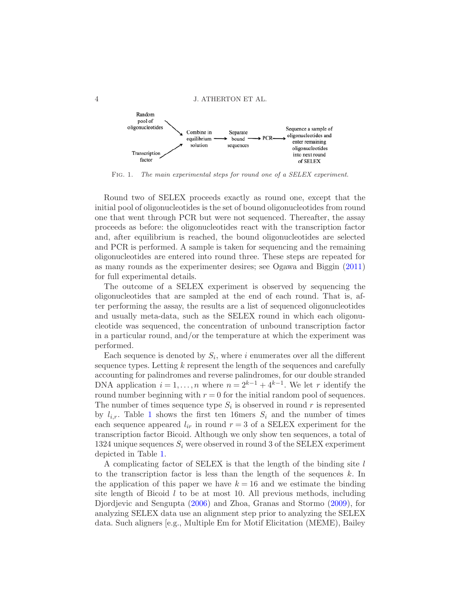

<span id="page-3-0"></span>Fig. 1. *The main experimental steps for round one of a SELEX experiment.*

Round two of SELEX proceeds exactly as round one, except that the initial pool of oligonucleotides is the set of bound oligonucleotides from round one that went through PCR but were not sequenced. Thereafter, the assay proceeds as before: the oligonucleotides react with the transcription factor and, after equilibrium is reached, the bound oligonucleotides are selected and PCR is performed. A sample is taken for sequencing and the remaining oligonucleotides are entered into round three. These steps are repeated for as many rounds as the experimenter desires; see Ogawa and Biggin [\(2011](#page-22-5)) for full experimental details.

The outcome of a SELEX experiment is observed by sequencing the oligonucleotides that are sampled at the end of each round. That is, after performing the assay, the results are a list of sequenced oligonucleotides and usually meta-data, such as the SELEX round in which each oligonucleotide was sequenced, the concentration of unbound transcription factor in a particular round, and/or the temperature at which the experiment was performed.

Each sequence is denoted by  $S_i$ , where i enumerates over all the different sequence types. Letting k represent the length of the sequences and carefully accounting for palindromes and reverse palindromes, for our double stranded DNA application  $i = 1, ..., n$  where  $n = 2^{k-1} + 4^{k-1}$ . We let r identify the round number beginning with  $r = 0$  for the initial random pool of sequences. The number of times sequence type  $S_i$  is observed in round r is represented by  $l_{i,r}$ . Table [1](#page-4-0) shows the first ten 16mers  $S_i$  and the number of times each sequence appeared  $l_{ir}$  in round  $r = 3$  of a SELEX experiment for the transcription factor Bicoid. Although we only show ten sequences, a total of 1324 unique sequences  $S_i$  were observed in round 3 of the SELEX experiment depicted in Table [1.](#page-4-0)

A complicating factor of SELEX is that the length of the binding site l to the transcription factor is less than the length of the sequences  $k$ . In the application of this paper we have  $k = 16$  and we estimate the binding site length of Bicoid  $l$  to be at most 10. All previous methods, including Djordjevic and Sengupta [\(2006](#page-21-4)) and Zhoa, Granas and Stormo [\(2009](#page-22-2)), for analyzing SELEX data use an alignment step prior to analyzing the SELEX data. Such aligners [e.g., Multiple Em for Motif Elicitation (MEME), Bailey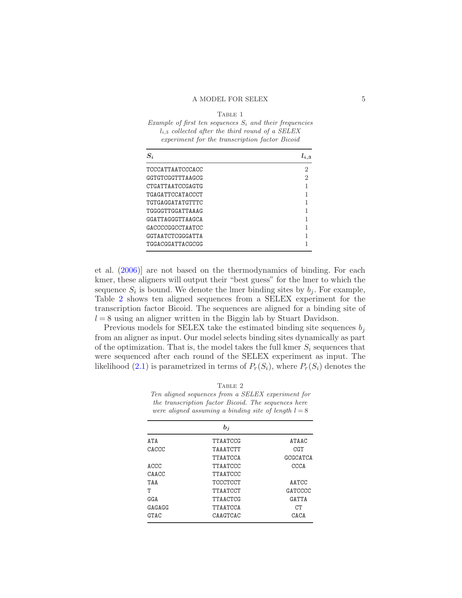## TABLE 1

<span id="page-4-0"></span>

| Example of first ten sequences $S_i$ and their frequencies |
|------------------------------------------------------------|
| $l_{i,3}$ collected after the third round of a SELEX       |
| experiment for the transcription factor Bicoid             |

| $S_i$                   | $l_{i,3}$ |
|-------------------------|-----------|
| TCCCATTAATCCCACC        | 2         |
| <b>GGTGTCGGTTTAAGCG</b> | 2         |
| CTGATTAATCCGAGTG        |           |
| <b>TGAGATTCCATACCCT</b> |           |
| TGTGAGGATATGTTTC        |           |
| TGGGGTTGGATTAAAG        |           |
| GGATTAGGGTTAAGCA        |           |
| GACCCCGGCCTAATCC        |           |
| <b>GGTAATCTCGGGATTA</b> |           |
| TGGACGGATTACGCGG        |           |

et al. [\(2006](#page-21-9))] are not based on the thermodynamics of binding. For each kmer, these aligners will output their "best guess" for the lmer to which the sequence  $S_i$  is bound. We denote the lmer binding sites by  $b_j$ . For example, Table [2](#page-4-1) shows ten aligned sequences from a SELEX experiment for the transcription factor Bicoid. The sequences are aligned for a binding site of  $l = 8$  using an aligner written in the Biggin lab by Stuart Davidson.

Previous models for SELEX take the estimated binding site sequences  $b_i$ from an aligner as input. Our model selects binding sites dynamically as part of the optimization. That is, the model takes the full kmer  $S_i$  sequences that were sequenced after each round of the SELEX experiment as input. The likelihood [\(2.1\)](#page-5-1) is parametrized in terms of  $P_r(S_i)$ , where  $P_r(S_i)$  denotes the

<span id="page-4-1"></span>TABLE 2 *Ten aligned sequences from a SELEX experiment for the transcription factor Bicoid. The sequences here were aligned assuming a binding site of length*  $l = 8$ 

|             | $b_i$           |              |
|-------------|-----------------|--------------|
| <b>ATA</b>  | <b>TTAATCCG</b> | <b>ATAAC</b> |
| CACCC       | TAAATCTT        | CGT          |
|             | TTAATCCA        | GCGCATCA     |
| ACCC        | TTAATCCC        | CCCA         |
| CAACC       | <b>TTAATCCC</b> |              |
| TAA         | <b>TCCCTCCT</b> | AATCC        |
| т           | <b>TTAATCCT</b> | GATCCCC      |
| GGA         | TTAACTCG        | GATTA        |
| GAGAGG      | <b>TTAATCCA</b> | CТ           |
| <b>GTAC</b> | <b>CAAGTCAC</b> | CACA         |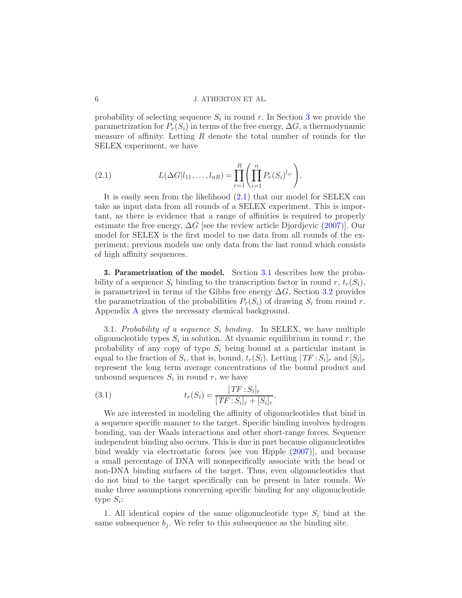probability of selecting sequence  $S_i$  in round r. In Section [3](#page-5-0) we provide the parametrization for  $P_r(S_i)$  in terms of the free energy,  $\Delta G$ , a thermodynamic measure of affinity. Letting  $R$  denote the total number of rounds for the SELEX experiment, we have

<span id="page-5-1"></span>(2.1) 
$$
L(\Delta G | l_{11}, \ldots, l_{nR}) = \prod_{r=1}^{R} \left( \prod_{i=1}^{n} P_r(S_i)^{l_{ir}} \right).
$$

It is easily seen from the likelihood [\(2.1\)](#page-5-1) that our model for SELEX can take as input data from all rounds of a SELEX experiment. This is important, as there is evidence that a range of affinities is required to properly estimate the free energy,  $\Delta G$  [see the review article Djordjevic [\(2007\)](#page-21-10)]. Our model for SELEX is the first model to use data from all rounds of the experiment; previous models use only data from the last round which consists of high affinity sequences.

<span id="page-5-0"></span>3. Parametrization of the model. Section [3.1](#page-5-2) describes how the probability of a sequence  $S_i$  binding to the transcription factor in round r,  $t_r(S_i)$ , is parametrized in terms of the Gibbs free energy  $\Delta G$ . Section [3.2](#page-7-0) provides the parametrization of the probabilities  $P_r(S_i)$  of drawing  $S_i$  from round r. Appendix [A](#page-17-0) gives the necessary chemical background.

<span id="page-5-2"></span>3.1. Probability of a sequence  $S_i$  binding. In SELEX, we have multiple oligonucleotide types  $S_i$  in solution. At dynamic equilibrium in round r, the probability of any copy of type  $S_i$  being bound at a particular instant is equal to the fraction of  $S_i$ , that is, bound,  $t_r(S_i)$ . Letting  $[TF: S_i]_r$  and  $[S_i]_r$ represent the long term average concentrations of the bound product and unbound sequences  $S_i$  in round r, we have

<span id="page-5-3"></span>(3.1) 
$$
t_r(S_i) = \frac{[TF : S_i]_r}{[TF : S_i]_r + [S_i]_r}.
$$

We are interested in modeling the affinity of oligonucleotides that bind in a sequence specific manner to the target. Specific binding involves hydrogen bonding, van der Waals interactions and other short-range forces. Sequence independent binding also occurs. This is due in part because oligonucleotides bind weakly via electrostatic forces [see von Hipple [\(2007\)](#page-22-6)], and because a small percentage of DNA will nonspecifically associate with the bead or non-DNA binding surfaces of the target. Thus, even oligonucleotides that do not bind to the target specifically can be present in later rounds. We make three assumptions concerning specific binding for any oligonucleotide type  $S_i$ :

1. All identical copies of the same oligonucleotide type  $S_i$  bind at the same subsequence  $b_j$ . We refer to this subsequence as the binding site.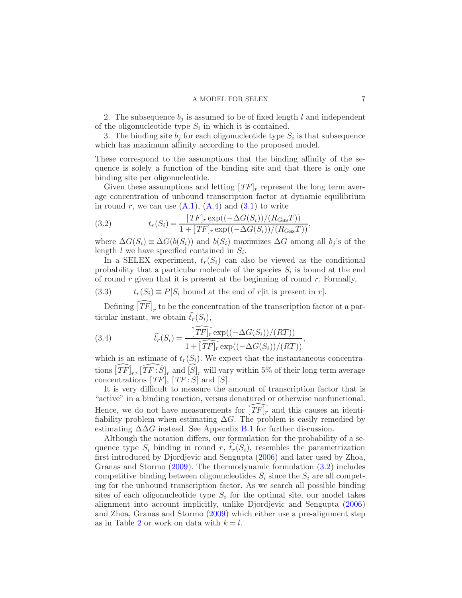2. The subsequence  $b_i$  is assumed to be of fixed length l and independent of the oligonucleotide type  $S_i$  in which it is contained.

3. The binding site  $b_j$  for each oligonucleotide type  $S_i$  is that subsequence which has maximum affinity according to the proposed model.

These correspond to the assumptions that the binding affinity of the sequence is solely a function of the binding site and that there is only one binding site per oligonucleotide.

Given these assumptions and letting  $[TF]_r$  represent the long term average concentration of unbound transcription factor at dynamic equilibrium in round r, we can use  $(A.1)$ ,  $(A.4)$  and  $(3.1)$  to write

<span id="page-6-0"></span>(3.2) 
$$
t_r(S_i) = \frac{[TF]_r \exp((-\Delta G(S_i))/(R_{\text{Gas}}T))}{1 + [TF]_r \exp((-\Delta G(S_i))/(R_{\text{Gas}}T))},
$$

where  $\Delta G(S_i) \equiv \Delta G(b(S_i))$  and  $b(S_i)$  maximizes  $\Delta G$  among all  $b_j$ 's of the length  $l$  we have specified contained in  $S_i$ .

In a SELEX experiment,  $t_r(S_i)$  can also be viewed as the conditional probability that a particular molecule of the species  $S_i$  is bound at the end of round  $r$  given that it is present at the beginning of round  $r$ . Formally,

(3.3) 
$$
t_r(S_i) \equiv P[S_i \text{ bound at the end of } r \text{ | it is present in } r].
$$

Defining  $\widehat{[\mathit{TF}]}_r$  to be the concentration of the transcription factor at a particular instant, we obtain  $\widehat{t}_r(S_i)$ ,

<span id="page-6-1"></span>(3.4) 
$$
\widehat{t_r}(S_i) = \frac{\widehat{[TF]_r} \exp((-\Delta G(S_i))/(RT))}{1 + \widehat{[TF]_r} \exp((-\Delta G(S_i))/(RT))},
$$

which is an estimate of  $t_r(S_i)$ . We expect that the instantaneous concentrations  $\widehat{[\mathit{TF}]}_r$ ,  $\widehat{[\mathit{TF}:\mathit{S}]}_r$  and  $\widehat{[\mathit{S}]}_r$  will vary within 5% of their long term average concentrations  $[TF], [TF:S]$  and  $[S].$ 

It is very difficult to measure the amount of transcription factor that is "active" in a binding reaction, versus denatured or otherwise nonfunctional. Hence, we do not have measurements for  $[TF]_r$  and this causes an identifiability problem when estimating  $\Delta G$ . The problem is easily remedied by estimating  $\Delta\Delta G$  instead. See Appendix [B.1](#page-18-1) for further discussion.

Although the notation differs, our formulation for the probability of a sequence type  $S_i$  binding in round r,  $\hat{t}_r(S_i)$ , resembles the parametrization first introduced by Djordjevic and Sengupta [\(2006](#page-21-4)) and later used by Zhoa, Granas and Stormo [\(2009](#page-22-2)). The thermodynamic formulation [\(3.2\)](#page-6-0) includes competitive binding between oligonucleotides  $S_i$  since the  $S_i$  are all competing for the unbound transcription factor. As we search all possible binding sites of each oligonucleotide type  $S_i$  for the optimal site, our model takes alignment into account implicitly, unlike Djordjevic and Sengupta [\(2006](#page-21-4)) and Zhoa, Granas and Stormo [\(2009](#page-22-2)) which either use a pre-alignment step as in Table [2](#page-4-1) or work on data with  $k = l$ .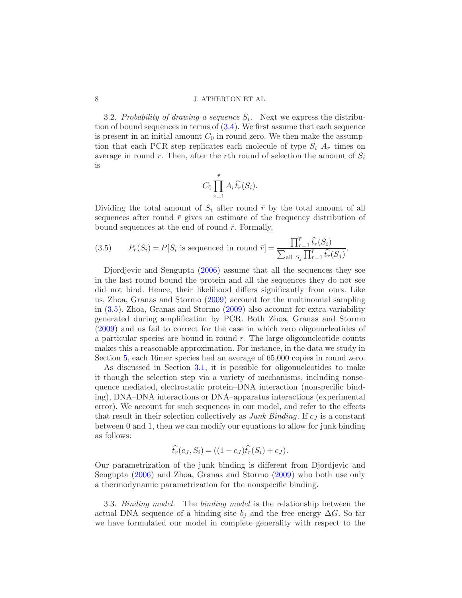<span id="page-7-0"></span>3.2. Probability of drawing a sequence  $S_i$ . Next we express the distribution of bound sequences in terms of  $(3.4)$ . We first assume that each sequence is present in an initial amount  $C_0$  in round zero. We then make the assumption that each PCR step replicates each molecule of type  $S_i$   $A_r$  times on average in round r. Then, after the rth round of selection the amount of  $S_i$ is

$$
C_0 \prod_{r=1}^{\bar{r}} A_r \widehat{t}_r(S_i).
$$

Dividing the total amount of  $S_i$  after round  $\bar{r}$  by the total amount of all sequences after round  $\bar{r}$  gives an estimate of the frequency distribution of bound sequences at the end of round  $\bar{r}$ . Formally,

<span id="page-7-1"></span>(3.5) 
$$
P_{\bar{r}}(S_i) = P[S_i \text{ is sequenced in round } \bar{r}] = \frac{\prod_{r=1}^{\bar{r}} \hat{t}_r(S_i)}{\sum_{\text{all } S_j} \prod_{r=1}^{\bar{r}} \hat{t}_r(S_j)}.
$$

Djordjevic and Sengupta [\(2006](#page-21-4)) assume that all the sequences they see in the last round bound the protein and all the sequences they do not see did not bind. Hence, their likelihood differs significantly from ours. Like us, Zhoa, Granas and Stormo [\(2009\)](#page-22-2) account for the multinomial sampling in [\(3.5\)](#page-7-1). Zhoa, Granas and Stormo [\(2009](#page-22-2)) also account for extra variability generated during amplification by PCR. Both Zhoa, Granas and Stormo [\(2009\)](#page-22-2) and us fail to correct for the case in which zero oligonucleotides of a particular species are bound in round  $r$ . The large oligonucleotide counts makes this a reasonable approximation. For instance, in the data we study in Section [5,](#page-9-0) each 16mer species had an average of 65,000 copies in round zero.

As discussed in Section [3.1,](#page-5-2) it is possible for oligonucleotides to make it though the selection step via a variety of mechanisms, including nonsequence mediated, electrostatic protein–DNA interaction (nonspecific binding), DNA–DNA interactions or DNA–apparatus interactions (experimental error). We account for such sequences in our model, and refer to the effects that result in their selection collectively as *Junk Binding*. If  $c_j$  is a constant between 0 and 1, then we can modify our equations to allow for junk binding as follows:

$$
\widehat{t_r}(c_J, S_i) = ((1 - c_J)\widehat{t_r}(S_i) + c_J).
$$

Our parametrization of the junk binding is different from Djordjevic and Sengupta [\(2006](#page-21-4)) and Zhoa, Granas and Stormo [\(2009](#page-22-2)) who both use only a thermodynamic parametrization for the nonspecific binding.

<span id="page-7-2"></span>3.3. Binding model. The binding model is the relationship between the actual DNA sequence of a binding site  $b_j$  and the free energy  $\Delta G$ . So far we have formulated our model in complete generality with respect to the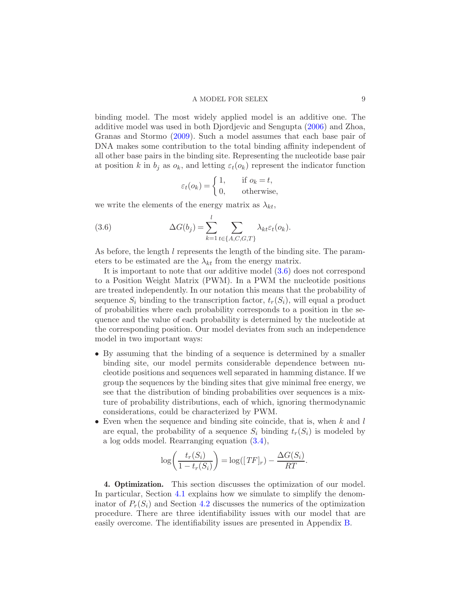binding model. The most widely applied model is an additive one. The additive model was used in both Djordjevic and Sengupta [\(2006](#page-21-4)) and Zhoa, Granas and Stormo [\(2009\)](#page-22-2). Such a model assumes that each base pair of DNA makes some contribution to the total binding affinity independent of all other base pairs in the binding site. Representing the nucleotide base pair at position k in  $b_i$  as  $o_k$ , and letting  $\varepsilon_t(o_k)$  represent the indicator function

<span id="page-8-0"></span>
$$
\varepsilon_t(o_k) = \begin{cases} 1, & \text{if } o_k = t, \\ 0, & \text{otherwise,} \end{cases}
$$

we write the elements of the energy matrix as  $\lambda_{kt}$ ,

(3.6) 
$$
\Delta G(b_j) = \sum_{k=1}^{l} \sum_{t \in \{A, C, G, T\}} \lambda_{kt} \varepsilon_t(o_k).
$$

As before, the length l represents the length of the binding site. The parameters to be estimated are the  $\lambda_{kt}$  from the energy matrix.

It is important to note that our additive model [\(3.6\)](#page-8-0) does not correspond to a Position Weight Matrix (PWM). In a PWM the nucleotide positions are treated independently. In our notation this means that the probability of sequence  $S_i$  binding to the transcription factor,  $t_r(S_i)$ , will equal a product of probabilities where each probability corresponds to a position in the sequence and the value of each probability is determined by the nucleotide at the corresponding position. Our model deviates from such an independence model in two important ways:

- By assuming that the binding of a sequence is determined by a smaller binding site, our model permits considerable dependence between nucleotide positions and sequences well separated in hamming distance. If we group the sequences by the binding sites that give minimal free energy, we see that the distribution of binding probabilities over sequences is a mixture of probability distributions, each of which, ignoring thermodynamic considerations, could be characterized by PWM.
- Even when the sequence and binding site coincide, that is, when  $k$  and  $l$ are equal, the probability of a sequence  $S_i$  binding  $t_r(S_i)$  is modeled by a log odds model. Rearranging equation [\(3.4\)](#page-6-1),

$$
\log\bigg(\frac{t_r(S_i)}{1 - t_r(S_i)}\bigg) = \log([TF]_r) - \frac{\Delta G(S_i)}{RT}.
$$

4. Optimization. This section discusses the optimization of our model. In particular, Section [4.1](#page-9-1) explains how we simulate to simplify the denominator of  $P_r(S_i)$  and Section [4.2](#page-9-2) discusses the numerics of the optimization procedure. There are three identifiability issues with our model that are easily overcome. The identifiability issues are presented in Appendix [B.](#page-18-2)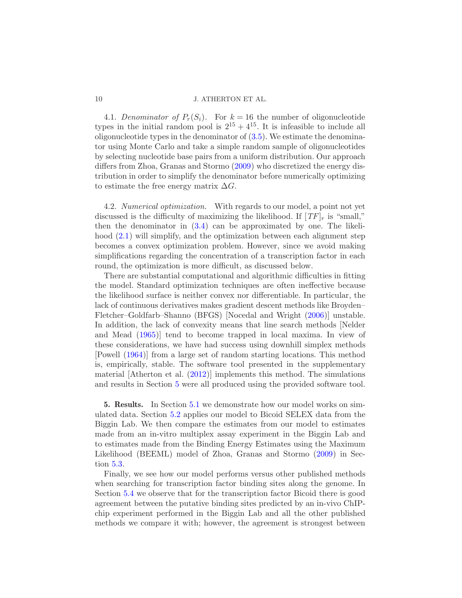4.1. Denominator of  $P_r(S_i)$ . For  $k = 16$  the number of oligonucleotide types in the initial random pool is  $2^{15} + 4^{15}$ . It is infeasible to include all oligonucleotide types in the denominator of  $(3.5)$ . We estimate the denominator using Monte Carlo and take a simple random sample of oligonucleotides by selecting nucleotide base pairs from a uniform distribution. Our approach differs from Zhoa, Granas and Stormo  $(2009)$  who discretized the energy distribution in order to simplify the denominator before numerically optimizing to estimate the free energy matrix  $\Delta G$ .

<span id="page-9-2"></span>4.2. Numerical optimization. With regards to our model, a point not yet discussed is the difficulty of maximizing the likelihood. If  $[TF]_r$  is "small," then the denominator in [\(3.4\)](#page-6-1) can be approximated by one. The likelihood  $(2.1)$  will simplify, and the optimization between each alignment step becomes a convex optimization problem. However, since we avoid making simplifications regarding the concentration of a transcription factor in each round, the optimization is more difficult, as discussed below.

There are substantial computational and algorithmic difficulties in fitting the model. Standard optimization techniques are often ineffective because the likelihood surface is neither convex nor differentiable. In particular, the lack of continuous derivatives makes gradient descent methods like Broyden– Fletcher–Goldfarb–Shanno (BFGS) [Nocedal and Wright [\(2006\)](#page-22-7)] unstable. In addition, the lack of convexity means that line search methods [Nelder and Mead [\(1965](#page-22-8))] tend to become trapped in local maxima. In view of these considerations, we have had success using downhill simplex methods [Powell [\(1964](#page-22-9))] from a large set of random starting locations. This method is, empirically, stable. The software tool presented in the supplementary material [Atherton et al. [\(2012\)](#page-21-11)] implements this method. The simulations and results in Section [5](#page-9-0) were all produced using the provided software tool.

<span id="page-9-0"></span>5. Results. In Section [5.1](#page-10-0) we demonstrate how our model works on simulated data. Section [5.2](#page-12-0) applies our model to Bicoid SELEX data from the Biggin Lab. We then compare the estimates from our model to estimates made from an in-vitro multiplex assay experiment in the Biggin Lab and to estimates made from the Binding Energy Estimates using the Maximum Likelihood (BEEML) model of Zhoa, Granas and Stormo [\(2009](#page-22-2)) in Section [5.3.](#page-12-1)

Finally, we see how our model performs versus other published methods when searching for transcription factor binding sites along the genome. In Section [5.4](#page-14-0) we observe that for the transcription factor Bicoid there is good agreement between the putative binding sites predicted by an in-vivo ChIPchip experiment performed in the Biggin Lab and all the other published methods we compare it with; however, the agreement is strongest between

<span id="page-9-1"></span>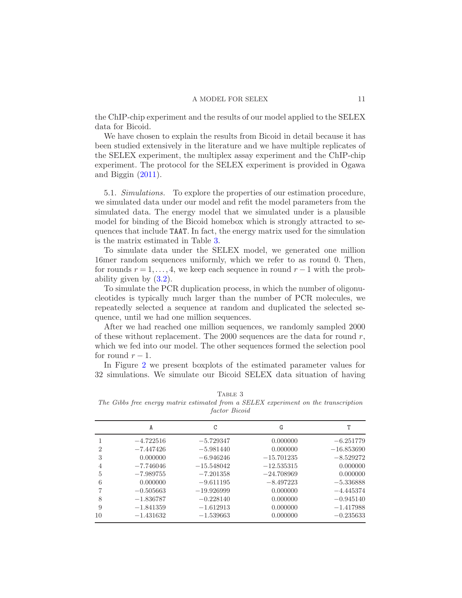the ChIP-chip experiment and the results of our model applied to the SELEX data for Bicoid.

We have chosen to explain the results from Bicoid in detail because it has been studied extensively in the literature and we have multiple replicates of the SELEX experiment, the multiplex assay experiment and the ChIP-chip experiment. The protocol for the SELEX experiment is provided in Ogawa and Biggin [\(2011](#page-22-5)).

<span id="page-10-0"></span>5.1. Simulations. To explore the properties of our estimation procedure, we simulated data under our model and refit the model parameters from the simulated data. The energy model that we simulated under is a plausible model for binding of the Bicoid homebox which is strongly attracted to sequences that include TAAT. In fact, the energy matrix used for the simulation is the matrix estimated in Table [3.](#page-10-1)

To simulate data under the SELEX model, we generated one million 16mer random sequences uniformly, which we refer to as round 0. Then, for rounds  $r = 1, \ldots, 4$ , we keep each sequence in round  $r - 1$  with the probability given by [\(3.2\)](#page-6-0).

To simulate the PCR duplication process, in which the number of oligonucleotides is typically much larger than the number of PCR molecules, we repeatedly selected a sequence at random and duplicated the selected sequence, until we had one million sequences.

After we had reached one million sequences, we randomly sampled 2000 of these without replacement. The 2000 sequences are the data for round  $r$ , which we fed into our model. The other sequences formed the selection pool for round  $r-1$ .

In Figure [2](#page-11-0) we present boxplots of the estimated parameter values for 32 simulations. We simulate our Bicoid SELEX data situation of having

A C G T 1  $-4.722516$   $-5.729347$  0.000000  $-6.251779$ 2 −7.447426 −5.981440 0.000000 −16.853690 3 0.000000  $-6.946246$   $-15.701235$   $-8.529272$ 4  $-7.746046$   $-15.548042$   $-12.535315$  0.000000 5 −7.989755 −7.201358 −24.708969 0.000000 6 0.000000 −9.611195 −8.497223 −5.336888 7 −0.505663 −19.926999 0.000000 −4.445374 8 −1.836787 −0.228140 0.000000 −0.945140 9 −1.841359 −1.612913 0.000000 −1.417988 10 −1.431632 −1.539663 0.000000 −0.235633

TABLE 3

<span id="page-10-1"></span>*The Gibbs free energy matrix estimated from a SELEX experiment on the transcription factor Bicoid*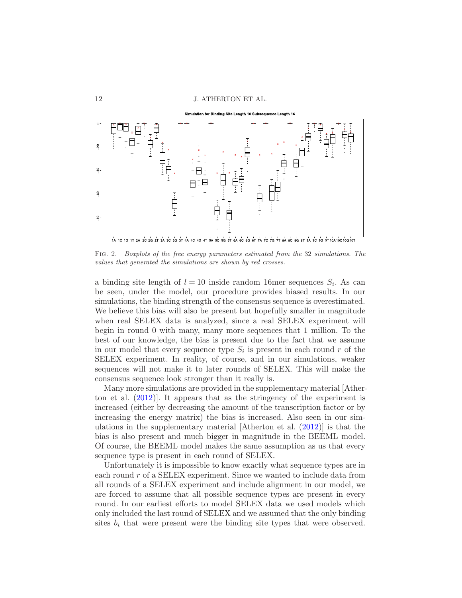

<span id="page-11-0"></span>Fig. 2. *Boxplots of the free energy parameters estimated from the* 32 *simulations. The values that generated the simulations are shown by red crosses.*

a binding site length of  $l = 10$  inside random 16mer sequences  $S_i$ . As can be seen, under the model, our procedure provides biased results. In our simulations, the binding strength of the consensus sequence is overestimated. We believe this bias will also be present but hopefully smaller in magnitude when real SELEX data is analyzed, since a real SELEX experiment will begin in round 0 with many, many more sequences that 1 million. To the best of our knowledge, the bias is present due to the fact that we assume in our model that every sequence type  $S_i$  is present in each round r of the SELEX experiment. In reality, of course, and in our simulations, weaker sequences will not make it to later rounds of SELEX. This will make the consensus sequence look stronger than it really is.

Many more simulations are provided in the supplementary material [Atherton et al. [\(2012](#page-21-11))]. It appears that as the stringency of the experiment is increased (either by decreasing the amount of the transcription factor or by increasing the energy matrix) the bias is increased. Also seen in our simulations in the supplementary material [Atherton et al. [\(2012](#page-21-11))] is that the bias is also present and much bigger in magnitude in the BEEML model. Of course, the BEEML model makes the same assumption as us that every sequence type is present in each round of SELEX.

Unfortunately it is impossible to know exactly what sequence types are in each round r of a SELEX experiment. Since we wanted to include data from all rounds of a SELEX experiment and include alignment in our model, we are forced to assume that all possible sequence types are present in every round. In our earliest efforts to model SELEX data we used models which only included the last round of SELEX and we assumed that the only binding sites  $b_i$  that were present were the binding site types that were observed.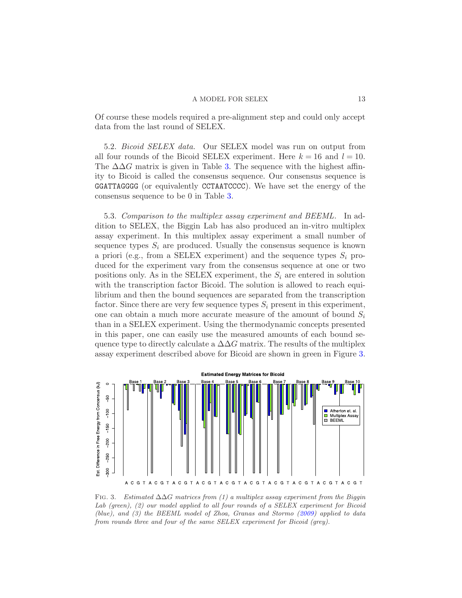Of course these models required a pre-alignment step and could only accept data from the last round of SELEX.

<span id="page-12-0"></span>5.2. Bicoid SELEX data. Our SELEX model was run on output from all four rounds of the Bicoid SELEX experiment. Here  $k = 16$  and  $l = 10$ . The  $\Delta\Delta G$  matrix is given in Table [3.](#page-10-1) The sequence with the highest affinity to Bicoid is called the consensus sequence. Our consensus sequence is GGATTAGGGG (or equivalently CCTAATCCCC). We have set the energy of the consensus sequence to be 0 in Table [3.](#page-10-1)

<span id="page-12-1"></span>5.3. Comparison to the multiplex assay experiment and BEEML. In addition to SELEX, the Biggin Lab has also produced an in-vitro multiplex assay experiment. In this multiplex assay experiment a small number of sequence types  $S_i$  are produced. Usually the consensus sequence is known a priori (e.g., from a SELEX experiment) and the sequence types  $S_i$  produced for the experiment vary from the consensus sequence at one or two positions only. As in the SELEX experiment, the  $S_i$  are entered in solution with the transcription factor Bicoid. The solution is allowed to reach equilibrium and then the bound sequences are separated from the transcription factor. Since there are very few sequence types  $S_i$  present in this experiment, one can obtain a much more accurate measure of the amount of bound  $S_i$ than in a SELEX experiment. Using the thermodynamic concepts presented in this paper, one can easily use the measured amounts of each bound sequence type to directly calculate a  $\Delta\Delta G$  matrix. The results of the multiplex assay experiment described above for Bicoid are shown in green in Figure [3.](#page-12-2)



<span id="page-12-2"></span>Fig. 3. *Estimated* ∆∆G *matrices from (1) a multiplex assay experiment from the Biggin Lab (green), (2) our model applied to all four rounds of a SELEX experiment for Bicoid (blue), and (3) the BEEML model of Zhoa, Granas and Stormo [\(2009\)](#page-22-2) applied to data from rounds three and four of the same SELEX experiment for Bicoid (grey).*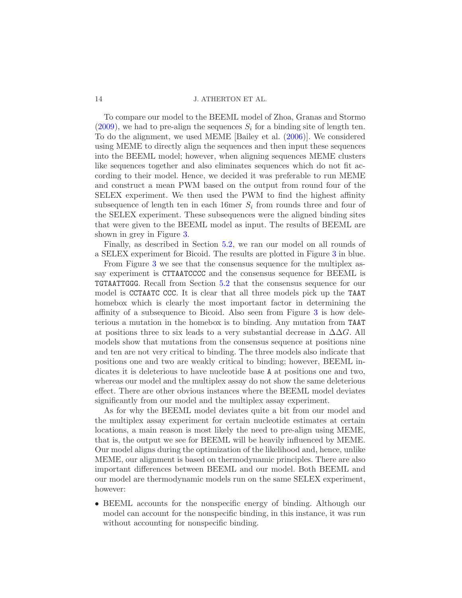To compare our model to the BEEML model of Zhoa, Granas and Stormo  $(2009)$ , we had to pre-align the sequences  $S_i$  for a binding site of length ten. To do the alignment, we used MEME [Bailey et al. [\(2006](#page-21-9))]. We considered using MEME to directly align the sequences and then input these sequences into the BEEML model; however, when aligning sequences MEME clusters like sequences together and also eliminates sequences which do not fit according to their model. Hence, we decided it was preferable to run MEME and construct a mean PWM based on the output from round four of the SELEX experiment. We then used the PWM to find the highest affinity subsequence of length ten in each 16 mer  $S_i$  from rounds three and four of the SELEX experiment. These subsequences were the aligned binding sites that were given to the BEEML model as input. The results of BEEML are shown in grey in Figure [3.](#page-12-2)

Finally, as described in Section [5.2,](#page-12-0) we ran our model on all rounds of a SELEX experiment for Bicoid. The results are plotted in Figure [3](#page-12-2) in blue.

From Figure [3](#page-12-2) we see that the consensus sequence for the multiplex assay experiment is CTTAATCCCC and the consensus sequence for BEEML is TGTAATTGGG. Recall from Section [5.2](#page-12-0) that the consensus sequence for our model is CCTAATC CCC. It is clear that all three models pick up the TAAT homebox which is clearly the most important factor in determining the affinity of a subsequence to Bicoid. Also seen from Figure [3](#page-12-2) is how deleterious a mutation in the homebox is to binding. Any mutation from TAAT at positions three to six leads to a very substantial decrease in  $\Delta\Delta G$ . All models show that mutations from the consensus sequence at positions nine and ten are not very critical to binding. The three models also indicate that positions one and two are weakly critical to binding; however, BEEML indicates it is deleterious to have nucleotide base A at positions one and two, whereas our model and the multiplex assay do not show the same deleterious effect. There are other obvious instances where the BEEML model deviates significantly from our model and the multiplex assay experiment.

As for why the BEEML model deviates quite a bit from our model and the multiplex assay experiment for certain nucleotide estimates at certain locations, a main reason is most likely the need to pre-align using MEME, that is, the output we see for BEEML will be heavily influenced by MEME. Our model aligns during the optimization of the likelihood and, hence, unlike MEME, our alignment is based on thermodynamic principles. There are also important differences between BEEML and our model. Both BEEML and our model are thermodynamic models run on the same SELEX experiment, however:

• BEEML accounts for the nonspecific energy of binding. Although our model can account for the nonspecific binding, in this instance, it was run without accounting for nonspecific binding.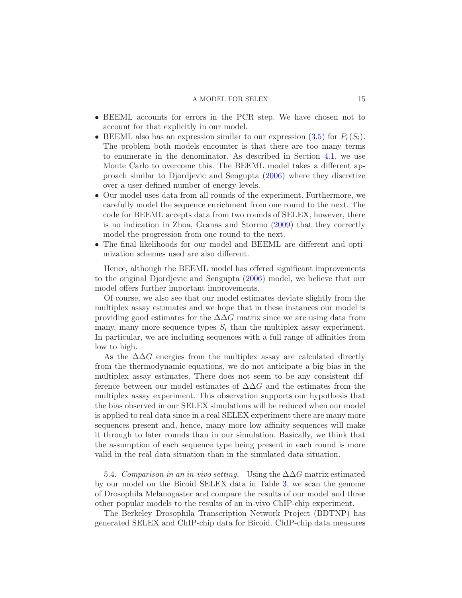- BEEML accounts for errors in the PCR step. We have chosen not to account for that explicitly in our model.
- BEEML also has an expression similar to our expression  $(3.5)$  for  $P_r(S_i)$ . The problem both models encounter is that there are too many terms to enumerate in the denominator. As described in Section [4.1,](#page-9-1) we use Monte Carlo to overcome this. The BEEML model takes a different approach similar to Djordjevic and Sengupta [\(2006\)](#page-21-4) where they discretize over a user defined number of energy levels.
- Our model uses data from all rounds of the experiment. Furthermore, we carefully model the sequence enrichment from one round to the next. The code for BEEML accepts data from two rounds of SELEX, however, there is no indication in Zhoa, Granas and Stormo [\(2009\)](#page-22-2) that they correctly model the progression from one round to the next.
- The final likelihoods for our model and BEEML are different and optimization schemes used are also different.

Hence, although the BEEML model has offered significant improvements to the original Djordjevic and Sengupta [\(2006](#page-21-4)) model, we believe that our model offers further important improvements.

Of course, we also see that our model estimates deviate slightly from the multiplex assay estimates and we hope that in these instances our model is providing good estimates for the  $\Delta\Delta G$  matrix since we are using data from many, many more sequence types  $S_i$  than the multiplex assay experiment. In particular, we are including sequences with a full range of affinities from low to high.

As the  $\Delta\Delta G$  energies from the multiplex assay are calculated directly from the thermodynamic equations, we do not anticipate a big bias in the multiplex assay estimates. There does not seem to be any consistent difference between our model estimates of  $\Delta\Delta G$  and the estimates from the multiplex assay experiment. This observation supports our hypothesis that the bias observed in our SELEX simulations will be reduced when our model is applied to real data since in a real SELEX experiment there are many more sequences present and, hence, many more low affinity sequences will make it through to later rounds than in our simulation. Basically, we think that the assumption of each sequence type being present in each round is more valid in the real data situation than in the simulated data situation.

<span id="page-14-0"></span>5.4. Comparison in an in-vivo setting. Using the  $\Delta\Delta G$  matrix estimated by our model on the Bicoid SELEX data in Table [3,](#page-10-1) we scan the genome of Drosophila Melanogaster and compare the results of our model and three other popular models to the results of an in-vivo ChIP-chip experiment.

The Berkeley Drosophila Transcription Network Project (BDTNP) has generated SELEX and ChIP-chip data for Bicoid. ChIP-chip data measures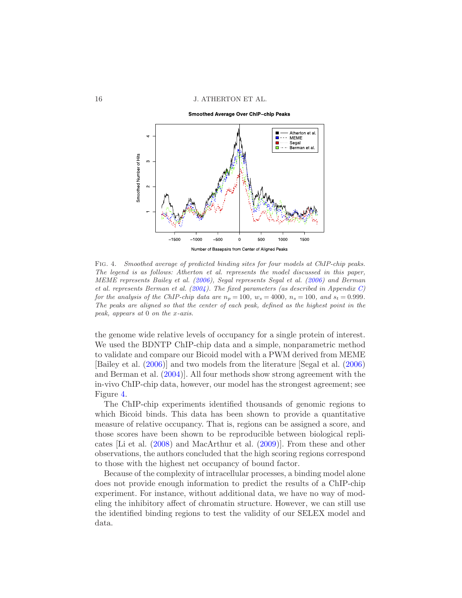16 J. ATHERTON ET AL.

Smoothed Average Over ChIP-chip Peaks



<span id="page-15-0"></span>Fig. 4. *Smoothed average of predicted binding sites for four models at ChIP-chip peaks. The legend is as follows: Atherton et al. represents the model discussed in this paper, MEME represents Bailey et al. [\(2006\)](#page-21-9), Segal represents Segal et al. [\(2006\)](#page-22-10) and Berman et al. represents Berman et al. [\(2004](#page-21-12)). The fixed parameters (as described in Appendix [C\)](#page-19-0) for the analysis of the ChIP-chip data are*  $n_p = 100$ ,  $w_s = 4000$ ,  $n_s = 100$ , and  $s_t = 0.999$ . *The peaks are aligned so that the center of each peak, defined as the highest point in the peak, appears at* 0 *on the* x*-axis.*

the genome wide relative levels of occupancy for a single protein of interest. We used the BDNTP ChIP-chip data and a simple, nonparametric method to validate and compare our Bicoid model with a PWM derived from MEME [Bailey et al. [\(2006](#page-21-9))] and two models from the literature [Segal et al. [\(2006](#page-22-10)) and Berman et al. [\(2004](#page-21-12))]. All four methods show strong agreement with the in-vivo ChIP-chip data, however, our model has the strongest agreement; see Figure [4.](#page-15-0)

The ChIP-chip experiments identified thousands of genomic regions to which Bicoid binds. This data has been shown to provide a quantitative measure of relative occupancy. That is, regions can be assigned a score, and those scores have been shown to be reproducible between biological replicates [Li et al. [\(2008](#page-22-11)) and MacArthur et al. [\(2009](#page-22-12))]. From these and other observations, the authors concluded that the high scoring regions correspond to those with the highest net occupancy of bound factor.

Because of the complexity of intracellular processes, a binding model alone does not provide enough information to predict the results of a ChIP-chip experiment. For instance, without additional data, we have no way of modeling the inhibitory affect of chromatin structure. However, we can still use the identified binding regions to test the validity of our SELEX model and data.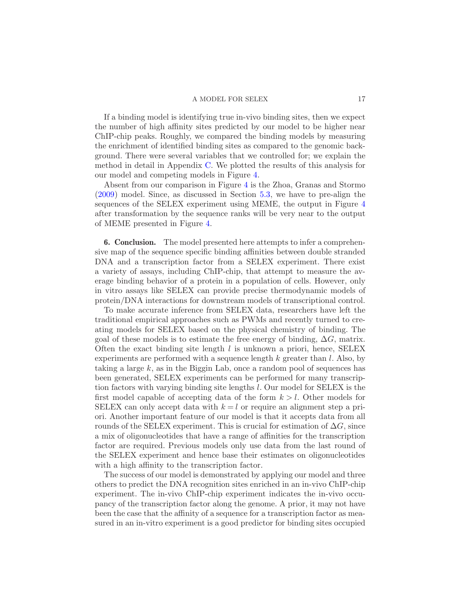If a binding model is identifying true in-vivo binding sites, then we expect the number of high affinity sites predicted by our model to be higher near ChIP-chip peaks. Roughly, we compared the binding models by measuring the enrichment of identified binding sites as compared to the genomic background. There were several variables that we controlled for; we explain the method in detail in Appendix [C.](#page-19-0) We plotted the results of this analysis for our model and competing models in Figure [4.](#page-15-0)

Absent from our comparison in Figure [4](#page-15-0) is the Zhoa, Granas and Stormo [\(2009\)](#page-22-2) model. Since, as discussed in Section [5.3,](#page-12-1) we have to pre-align the sequences of the SELEX experiment using MEME, the output in Figure [4](#page-15-0) after transformation by the sequence ranks will be very near to the output of MEME presented in Figure [4.](#page-15-0)

6. Conclusion. The model presented here attempts to infer a comprehensive map of the sequence specific binding affinities between double stranded DNA and a transcription factor from a SELEX experiment. There exist a variety of assays, including ChIP-chip, that attempt to measure the average binding behavior of a protein in a population of cells. However, only in vitro assays like SELEX can provide precise thermodynamic models of protein/DNA interactions for downstream models of transcriptional control.

To make accurate inference from SELEX data, researchers have left the traditional empirical approaches such as PWMs and recently turned to creating models for SELEX based on the physical chemistry of binding. The goal of these models is to estimate the free energy of binding,  $\Delta G$ , matrix. Often the exact binding site length  $l$  is unknown a priori, hence, SELEX experiments are performed with a sequence length  $k$  greater than  $l$ . Also, by taking a large  $k$ , as in the Biggin Lab, once a random pool of sequences has been generated, SELEX experiments can be performed for many transcription factors with varying binding site lengths l. Our model for SELEX is the first model capable of accepting data of the form  $k > l$ . Other models for SELEX can only accept data with  $k = l$  or require an alignment step a priori. Another important feature of our model is that it accepts data from all rounds of the SELEX experiment. This is crucial for estimation of  $\Delta G$ , since a mix of oligonucleotides that have a range of affinities for the transcription factor are required. Previous models only use data from the last round of the SELEX experiment and hence base their estimates on oligonucleotides with a high affinity to the transcription factor.

The success of our model is demonstrated by applying our model and three others to predict the DNA recognition sites enriched in an in-vivo ChIP-chip experiment. The in-vivo ChIP-chip experiment indicates the in-vivo occupancy of the transcription factor along the genome. A prior, it may not have been the case that the affinity of a sequence for a transcription factor as measured in an in-vitro experiment is a good predictor for binding sites occupied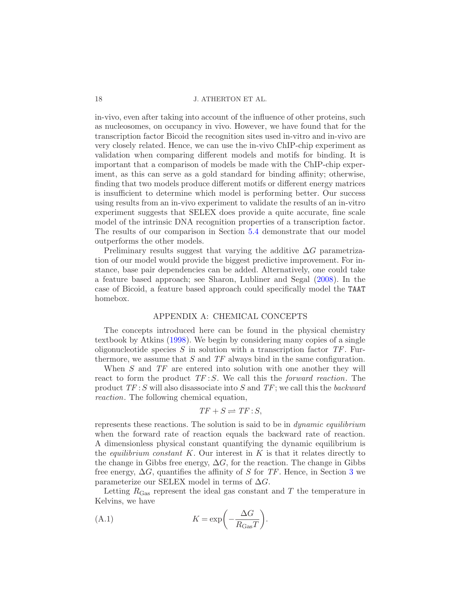in-vivo, even after taking into account of the influence of other proteins, such as nucleosomes, on occupancy in vivo. However, we have found that for the transcription factor Bicoid the recognition sites used in-vitro and in-vivo are very closely related. Hence, we can use the in-vivo ChIP-chip experiment as validation when comparing different models and motifs for binding. It is important that a comparison of models be made with the ChIP-chip experiment, as this can serve as a gold standard for binding affinity; otherwise, finding that two models produce different motifs or different energy matrices is insufficient to determine which model is performing better. Our success using results from an in-vivo experiment to validate the results of an in-vitro experiment suggests that SELEX does provide a quite accurate, fine scale model of the intrinsic DNA recognition properties of a transcription factor. The results of our comparison in Section [5.4](#page-14-0) demonstrate that our model outperforms the other models.

Preliminary results suggest that varying the additive  $\Delta G$  parametrization of our model would provide the biggest predictive improvement. For instance, base pair dependencies can be added. Alternatively, one could take a feature based approach; see Sharon, Lubliner and Segal [\(2008\)](#page-22-13). In the case of Bicoid, a feature based approach could specifically model the TAAT homebox.

## APPENDIX A: CHEMICAL CONCEPTS

<span id="page-17-0"></span>The concepts introduced here can be found in the physical chemistry textbook by Atkins [\(1998](#page-21-13)). We begin by considering many copies of a single oligonucleotide species  $S$  in solution with a transcription factor  $TF$ . Furthermore, we assume that  $S$  and  $TF$  always bind in the same configuration.

When S and TF are entered into solution with one another they will react to form the product  $TF: S$ . We call this the *forward reaction*. The product  $TF: S$  will also disassociate into S and  $TF$ ; we call this the backward reaction. The following chemical equation,

$$
TF + S \rightleftharpoons TF : S,
$$

represents these reactions. The solution is said to be in *dynamic equilibrium* when the forward rate of reaction equals the backward rate of reaction. A dimensionless physical constant quantifying the dynamic equilibrium is the *equilibrium constant K*. Our interest in  $K$  is that it relates directly to the change in Gibbs free energy,  $\Delta G$ , for the reaction. The change in Gibbs free energy,  $\Delta G$ , quantifies the affinity of S for TF. Hence, in Section [3](#page-5-0) we parameterize our SELEX model in terms of  $\Delta G$ .

Letting  $R_{\text{Gas}}$  represent the ideal gas constant and T the temperature in Kelvins, we have

<span id="page-17-1"></span>(A.1) 
$$
K = \exp\left(-\frac{\Delta G}{R_{\text{Gas}}T}\right).
$$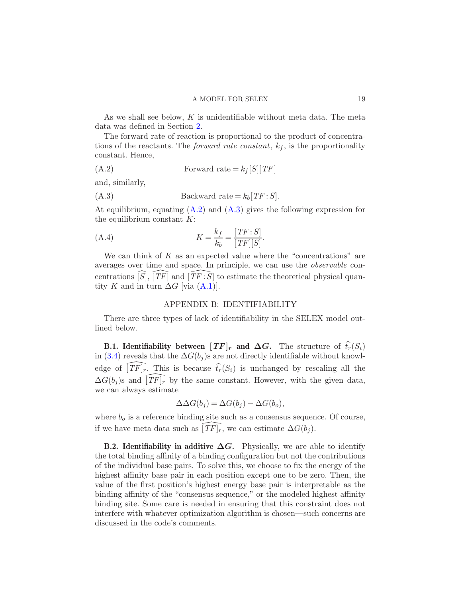As we shall see below,  $K$  is unidentifiable without meta data. The meta data was defined in Section [2.](#page-2-0)

The forward rate of reaction is proportional to the product of concentrations of the reactants. The *forward rate constant*,  $k_f$ , is the proportionality constant. Hence,

<span id="page-18-3"></span>(A.2) Forward rate = k<sup>f</sup> [S][TF]

and, similarly,

<span id="page-18-4"></span>
$$
(A.3) \t\t \text{Backward rate} = k_b[TF:S].
$$

At equilibrium, equating  $(A.2)$  and  $(A.3)$  gives the following expression for the equilibrium constant  $K$ :

(A.4) 
$$
K = \frac{k_f}{k_b} = \frac{[TF:S]}{[TF][S]}.
$$

We can think of  $K$  as an expected value where the "concentrations" are averages over time and space. In principle, we can use the observable concentrations  $[S]$ ,  $[TF]$  and  $[TF:\overline{S}]$  to estimate the theoretical physical quantity K and in turn  $\Delta G$  [via  $(A.1)$ ].

#### <span id="page-18-0"></span>APPENDIX B: IDENTIFIABILITY

<span id="page-18-2"></span>There are three types of lack of identifiability in the SELEX model outlined below.

<span id="page-18-1"></span>**B.1.** Identifiability between  $[TF]_r$  and  $\Delta G$ . The structure of  $\hat{t}_r(S_i)$ in [\(3.4\)](#page-6-1) reveals that the  $\Delta G(b_i)$ s are not directly identifiable without knowledge of  $\widehat{[\mathit{TF}]_r}$ . This is because  $\widehat{t}_r(S_i)$  is unchanged by rescaling all the  $\Delta G(b_i)$ s and  $[TF]_r$  by the same constant. However, with the given data, we can always estimate

$$
\Delta \Delta G(b_j) = \Delta G(b_j) - \Delta G(b_o),
$$

where  $b<sub>o</sub>$  is a reference binding site such as a consensus sequence. Of course, if we have meta data such as  $\widehat{[\mathit{TF}]_r}$ , we can estimate  $\Delta G(b_i)$ .

**B.2. Identifiability in additive**  $\Delta G$ **.** Physically, we are able to identify the total binding affinity of a binding configuration but not the contributions of the individual base pairs. To solve this, we choose to fix the energy of the highest affinity base pair in each position except one to be zero. Then, the value of the first position's highest energy base pair is interpretable as the binding affinity of the "consensus sequence," or the modeled highest affinity binding site. Some care is needed in ensuring that this constraint does not interfere with whatever optimization algorithm is chosen—such concerns are discussed in the code's comments.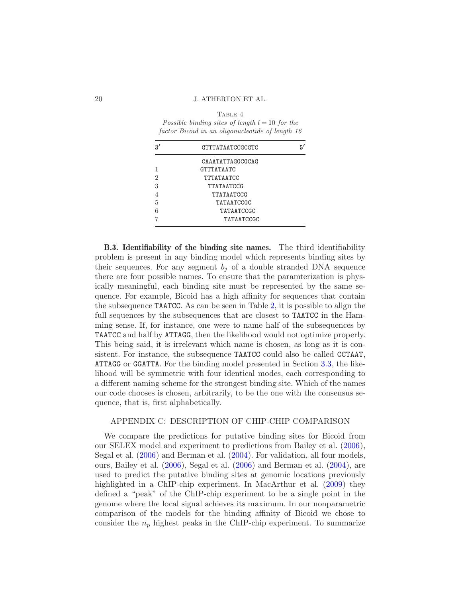TABLE 4 *Possible binding sites of length*  $l = 10$  *for the factor Bicoid in an oligonucleotide of length 16*

|   | <b>GTTTATAATCCGCGTC</b> | 5′ |
|---|-------------------------|----|
|   | CAAATATTAGGCGCAG        |    |
| 1 | <b>GTTTATAATC</b>       |    |
| 2 | TTTATAATCC              |    |
| 3 | TTATAATCCG              |    |
|   | TTATAATCCG              |    |
| 5 | TATAATCCGC              |    |
|   | TATAATCCGC              |    |
|   | TATAATCCGC              |    |

B.3. Identifiability of the binding site names. The third identifiability problem is present in any binding model which represents binding sites by their sequences. For any segment  $b_i$  of a double stranded DNA sequence there are four possible names. To ensure that the paramterization is physically meaningful, each binding site must be represented by the same sequence. For example, Bicoid has a high affinity for sequences that contain the subsequence TAATCC. As can be seen in Table [2,](#page-4-1) it is possible to align the full sequences by the subsequences that are closest to TAATCC in the Hamming sense. If, for instance, one were to name half of the subsequences by TAATCC and half by ATTAGG, then the likelihood would not optimize properly. This being said, it is irrelevant which name is chosen, as long as it is consistent. For instance, the subsequence TAATCC could also be called CCTAAT, ATTAGG or GGATTA. For the binding model presented in Section [3.3,](#page-7-2) the likelihood will be symmetric with four identical modes, each corresponding to a different naming scheme for the strongest binding site. Which of the names our code chooses is chosen, arbitrarily, to be the one with the consensus sequence, that is, first alphabetically.

## <span id="page-19-0"></span>APPENDIX C: DESCRIPTION OF CHIP-CHIP COMPARISON

We compare the predictions for putative binding sites for Bicoid from our SELEX model and experiment to predictions from Bailey et al. [\(2006](#page-21-9)), Segal et al. [\(2006\)](#page-22-10) and Berman et al. [\(2004](#page-21-12)). For validation, all four models, ours, Bailey et al. [\(2006](#page-21-9)), Segal et al. [\(2006](#page-22-10)) and Berman et al. [\(2004\)](#page-21-12), are used to predict the putative binding sites at genomic locations previously highlighted in a ChIP-chip experiment. In MacArthur et al. [\(2009](#page-22-12)) they defined a "peak" of the ChIP-chip experiment to be a single point in the genome where the local signal achieves its maximum. In our nonparametric comparison of the models for the binding affinity of Bicoid we chose to consider the  $n_p$  highest peaks in the ChIP-chip experiment. To summarize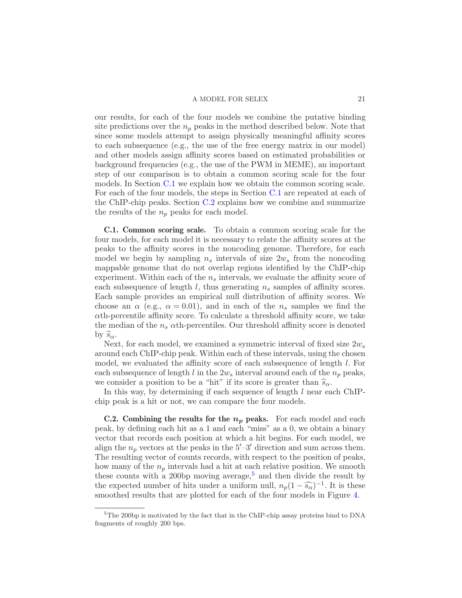our results, for each of the four models we combine the putative binding site predictions over the  $n_p$  peaks in the method described below. Note that since some models attempt to assign physically meaningful affinity scores to each subsequence (e.g., the use of the free energy matrix in our model) and other models assign affinity scores based on estimated probabilities or background frequencies (e.g., the use of the PWM in MEME), an important step of our comparison is to obtain a common scoring scale for the four models. In Section [C.1](#page-20-0) we explain how we obtain the common scoring scale. For each of the four models, the steps in Section [C.1](#page-20-0) are repeated at each of the ChIP-chip peaks. Section [C.2](#page-20-1) explains how we combine and summarize the results of the  $n_p$  peaks for each model.

<span id="page-20-0"></span>C.1. Common scoring scale. To obtain a common scoring scale for the four models, for each model it is necessary to relate the affinity scores at the peaks to the affinity scores in the noncoding genome. Therefore, for each model we begin by sampling  $n_s$  intervals of size  $2w_s$  from the noncoding mappable genome that do not overlap regions identified by the ChIP-chip experiment. Within each of the  $n<sub>s</sub>$  intervals, we evaluate the affinity score of each subsequence of length  $l$ , thus generating  $n<sub>s</sub>$  samples of affinity scores. Each sample provides an empirical null distribution of affinity scores. We choose an  $\alpha$  (e.g.,  $\alpha = 0.01$ ), and in each of the  $n_s$  samples we find the  $\alpha$ th-percentile affinity score. To calculate a threshold affinity score, we take the median of the  $n_s$   $\alpha$ th-percentiles. Our threshold affinity score is denoted by  $\widehat{s}_{\alpha}$ .

Next, for each model, we examined a symmetric interval of fixed size  $2w_s$ around each ChIP-chip peak. Within each of these intervals, using the chosen model, we evaluated the affinity score of each subsequence of length l. For each subsequence of length l in the  $2w_s$  interval around each of the  $n_p$  peaks, we consider a position to be a "hit" if its score is greater than  $\widehat{s}_{\alpha}$ .

In this way, by determining if each sequence of length  $l$  near each ChIPchip peak is a hit or not, we can compare the four models.

<span id="page-20-1"></span>**C.2.** Combining the results for the  $n_p$  peaks. For each model and each peak, by defining each hit as a 1 and each "miss" as a 0, we obtain a binary vector that records each position at which a hit begins. For each model, we align the  $n_p$  vectors at the peaks in the  $5'-3'$  direction and sum across them. The resulting vector of counts records, with respect to the position of peaks, how many of the  $n_p$  intervals had a hit at each relative position. We smooth these counts with a 200 bp moving average,<sup>[5](#page-20-2)</sup> and then divide the result by the expected number of hits under a uniform null,  $n_p(1-\widehat{s_{\alpha}})^{-1}$ . It is these smoothed results that are plotted for each of the four models in Figure [4.](#page-15-0)

<span id="page-20-2"></span><sup>5</sup>The 200bp is motivated by the fact that in the ChIP-chip assay proteins bind to DNA fragments of roughly 200 bps.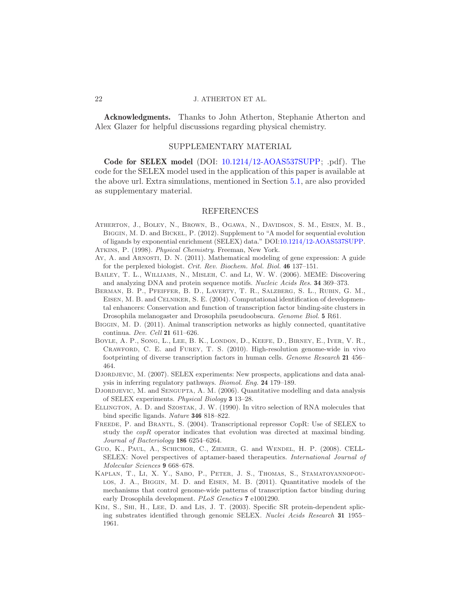Acknowledgments. Thanks to John Atherton, Stephanie Atherton and Alex Glazer for helpful discussions regarding physical chemistry.

### SUPPLEMENTARY MATERIAL

Code for SELEX model (DOI: [10.1214/12-AOAS537SUPP;](http://dx.doi.org/10.1214/12-AOAS537SUPP) .pdf). The code for the SELEX model used in the application of this paper is available at the above url. Extra simulations, mentioned in Section [5.1,](#page-10-0) are also provided as supplementary material.

### REFERENCES

- <span id="page-21-11"></span>Atherton, J., Boley, N., Brown, B., Ogawa, N., Davidson, S. M., Eisen, M. B., Biggin, M. D. and Bickel, P. (2012). Supplement to "A model for sequential evolution of ligands by exponential enrichment (SELEX) data." DOI[:10.1214/12-AOAS537SUPP.](http://dx.doi.org/10.1214/12-AOAS537SUPP)
- <span id="page-21-13"></span>Atkins, P. (1998). *Physical Chemistry*. Freeman, New York.
- <span id="page-21-6"></span>Ay, A. and Arnosti, D. N. (2011). Mathematical modeling of gene expression: A guide for the perplexed biologist. *Crit. Rev. Biochem. Mol. Biol.* 46 137–151.
- <span id="page-21-9"></span>Bailey, T. L., Williams, N., Misleh, C. and Li, W. W. (2006). MEME: Discovering and analyzing DNA and protein sequence motifs. *Nucleic Acids Res.* 34 369–373.
- <span id="page-21-12"></span>Berman, B. P., Pfeiffer, B. D., Laverty, T. R., Salzberg, S. L., Rubin, G. M., Eisen, M. B. and Celniker, S. E. (2004). Computational identification of developmental enhancers: Conservation and function of transcription factor binding-site clusters in Drosophila melanogaster and Drosophila pseudoobscura. *Genome Biol.* 5 R61.
- <span id="page-21-7"></span>Biggin, M. D. (2011). Animal transcription networks as highly connected, quantitative continua. *Dev. Cell* 21 611–626.
- <span id="page-21-8"></span>Boyle, A. P., Song, L., Lee, B. K., London, D., Keefe, D., Birney, E., Iyer, V. R., Crawford, C. E. and Furey, T. S. (2010). High-resolution genome-wide in vivo footprinting of diverse transcription factors in human cells. *Genome Research* 21 456– 464.
- <span id="page-21-10"></span>Djordjevic, M. (2007). SELEX experiments: New prospects, applications and data analysis in inferring regulatory pathways. *Biomol. Eng.* 24 179–189.
- <span id="page-21-4"></span>DJORDJEVIC, M. and SENGUPTA, A. M. (2006). Quantitative modelling and data analysis of SELEX experiments. *Physical Biology* 3 13–28.
- <span id="page-21-0"></span>ELLINGTON, A. D. and SZOSTAK, J. W. (1990). In vitro selection of RNA molecules that bind specific ligands. *Nature* 346 818–822.
- <span id="page-21-2"></span>FREEDE, P. and BRANTL, S. (2004). Transcriptional repressor CopR: Use of SELEX to study the  $\text{cop}R$  operator indicates that evolution was directed at maximal binding. *Journal of Bacteriology* 186 6254–6264.
- <span id="page-21-3"></span>GUO, K., PAUL, A., SCHICHOR, C., ZIEMER, G. and WENDEL, H. P. (2008). CELL-SELEX: Novel perspectives of aptamer-based therapeutics. *International Journal of Molecular Sciences* 9 668–678.
- <span id="page-21-5"></span>Kaplan, T., Li, X. Y., Sabo, P., Peter, J. S., Thomas, S., Stamatoyannopoulos, J. A., Biggin, M. D. and Eisen, M. B. (2011). Quantitative models of the mechanisms that control genome-wide patterns of transcription factor binding during early Drosophila development. *PLoS Genetics* 7 e1001290.
- <span id="page-21-1"></span>Kim, S., Shi, H., Lee, D. and Lis, J. T. (2003). Specific SR protein-dependent splicing substrates identified through genomic SELEX. *Nuclei Acids Research* 31 1955– 1961.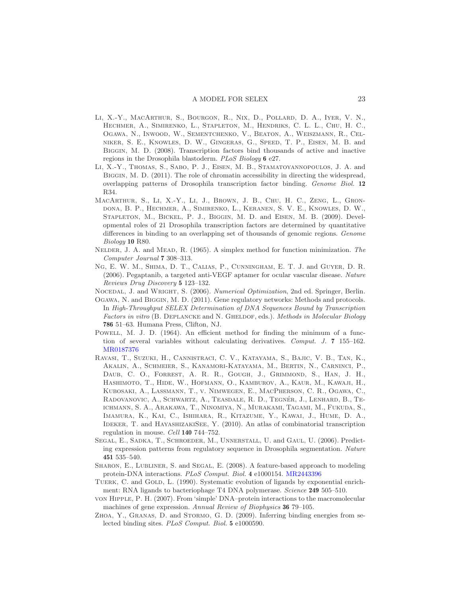- <span id="page-22-11"></span>Li, X.-Y., MacArthur, S., Bourgon, R., Nix, D., Pollard, D. A., Iyer, V. N., Hechmer, A., Simirenko, L., Stapleton, M., Hendriks, C. L. L., Chu, H. C., Ogawa, N., Inwood, W., Sementchenko, V., Beaton, A., Weiszmann, R., Celniker, S. E., Knowles, D. W., Gingeras, G., Speed, T. P., Eisen, M. B. and Biggin, M. D. (2008). Transcription factors bind thousands of active and inactive regions in the Drosophila blastoderm. *PLoS Biology* 6 e27.
- <span id="page-22-3"></span>Li, X.-Y., Thomas, S., Sabo, P. J., Eisen, M. B., Stamatoyannopoulos, J. A. and BIGGIN, M. D. (2011). The role of chromatin accessibility in directing the widespread, overlapping patterns of Drosophila transcription factor binding. *Genome Biol.* 12 R34.
- <span id="page-22-12"></span>MacArthur, S., Li, X.-Y., Li, J., Brown, J. B., Chu, H. C., Zeng, L., Grondona, B. P., Hechmer, A., Simirenko, L., Keranen, S. V. E., Knowles, D. W., Stapleton, M., Bickel, P. J., Biggin, M. D. and Eisen, M. B. (2009). Developmental roles of 21 Drosophila transcription factors are determined by quantitative differences in binding to an overlapping set of thousands of genomic regions. *Genome Biology* 10 R80.
- <span id="page-22-8"></span>Nelder, J. A. and Mead, R. (1965). A simplex method for function minimization. *The Computer Journal* 7 308–313.
- <span id="page-22-1"></span>Ng, E. W. M., Shima, D. T., Calias, P., Cunningham, E. T. J. and Guyer, D. R. (2006). Pegaptanib, a targeted anti-VEGF aptamer for ocular vascular disease. *Nature Reviews Drug Discovery* 5 123–132.
- <span id="page-22-7"></span>Nocedal, J. and Wright, S. (2006). *Numerical Optimization*, 2nd ed. Springer, Berlin.
- <span id="page-22-5"></span>Ogawa, N. and Biggin, M. D. (2011). Gene regulatory networks: Methods and protocols. In *High-Throughput SELEX Determination of DNA Sequences Bound by Transcription Factors in vitro* (B. Deplancke and N. Gheldof, eds.). *Methods in Molecular Biology* 786 51–63. Humana Press, Clifton, NJ.
- <span id="page-22-9"></span>Powell, M. J. D. (1964). An efficient method for finding the minimum of a function of several variables without calculating derivatives. *Comput. J.* 7 155–162. [MR0187376](http://www.ams.org/mathscinet-getitem?mr=0187376)
- <span id="page-22-4"></span>Ravasi, T., Suzuki, H., Cannistraci, C. V., Katayama, S., Bajic, V. B., Tan, K., Akalin, A., Schmeier, S., Kanamori-Katayama, M., Bertin, N., Carninci, P., Daub, C. O., Forrest, A. R. R., Gough, J., Grimmond, S., Han, J. H., Hashimoto, T., Hide, W., Hofmann, O., Kamburov, A., Kaur, M., Kawaji, H., Kubosaki, A., Lassmann, T., v. Nimwegen, E., MacPherson, C. R., Ogawa, C., RADOVANOVIC, A., SCHWARTZ, A., TEASDALE, R. D., TEGNÉR, J., LENHARD, B., TEichmann, S. A., Arakawa, T., Ninomiya, N., Murakami, Tagami, M., Fukuda, S., Imamura, K., Kai, C., Ishihara, R., Kitazume, Y., Kawai, J., Hume, D. A., IDEKER, T. and HAYASHIZAKISEE, Y. (2010). An atlas of combinatorial transcription regulation in mouse. *Cell* 140 744–752.
- <span id="page-22-10"></span>Segal, E., Sadka, T., Schroeder, M., Unnerstall, U. and Gaul, U. (2006). Predicting expression patterns from regulatory sequence in Drosophila segmentation. *Nature* 451 535–540.
- <span id="page-22-13"></span>SHARON, E., LUBLINER, S. and SEGAL, E. (2008). A feature-based approach to modeling protein-DNA interactions. *PLoS Comput. Biol.* 4 e1000154. [MR2443396](http://www.ams.org/mathscinet-getitem?mr=2443396)
- <span id="page-22-0"></span>TUERK, C. and GOLD, L. (1990). Systematic evolution of ligands by exponential enrichment: RNA ligands to bacteriophage T4 DNA polymerase. *Science* 249 505–510.
- <span id="page-22-6"></span>von Hipple, P. H. (2007). From 'simple' DNA–protein interactions to the macromolecular machines of gene expression. *Annual Review of Biophysics* 36 79–105.
- <span id="page-22-2"></span>ZHOA, Y., GRANAS, D. and STORMO, G. D. (2009). Inferring binding energies from selected binding sites. *PLoS Comput. Biol.* 5 e1000590.